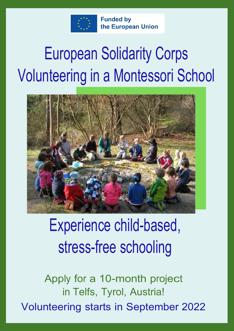

**Funded by** the European Union

# European Solidarity Corps Volunteering in a Montessori School



## Experience child-based, stress-free schooling

Apply for a 10-month project in Telfs, Tyrol, Austria! Volunteering starts in September 2022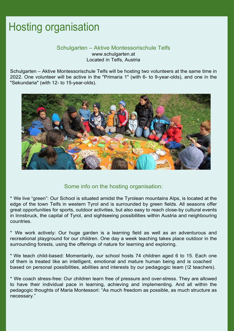#### Hosting organisation

#### Schulgarten – Aktive Montessorischule Telfs www.schulgarten.at Located in Telfs, Austria

Schulgarten – Aktive Montessorischule Telfs will be hosting two volunteers at the same time in 2022. One volunteer will be active in the "Primaria 1" (with 6- to 9-year-olds), and one in the "Sekundaria" (with 12- to 15-year-olds).



Some info on the hosting organisation:

\* We live "green": Our School is situated amidst the Tyrolean mountains Alps, is located at the edge of the town Telfs in western Tyrol and is surrounded by green fields. All seasons offer great opportunities for sports, outdoor activities, but also easy to reach close-by cultural events in Innsbruck, the capital of Tyrol, and sightseeing possibilities within Austria and neighbouring countries.

\* We work actively: Our huge garden is a learning field as well as an adventurous and recreational playground for our children. One day a week teaching takes place outdoor in the surrounding forests, using the offerings of nature for learning and exploring.

\* We teach child-based: Momentarily, our school hosts 74 children aged 6 to 15. Each one of them is treated like an intelligent, emotional and mature human being and is coached based on personal possibilities, abilities and interests by our pedagogic team (12 teachers).

\* We coach stress-free: Our children learn free of pressure and over-stress. They are allowed to have their individual pace in learning, achieving and implementing. And all within the pedagogic thoughts of Maria Montessori: "As much freedom as possible, as much structure as necessary."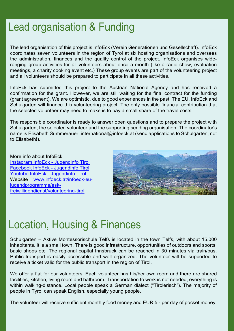#### Lead organisation & Funding

The lead organisation of this project is InfoEck (Verein Generationen und Gesellschaft). InfoEck coordinates seven volunteers in the region of Tyrol at six hosting organisations and oversees the administration, finances and the quality control of the project. InfoEck organises wideranging group activities for all volunteers about once a month (like a radio show, evaluation meetings, a charity cooking event etc.) These group events are part of the volunteering project and all volunteers should be prepared to participate in all these activities.

InfoEck has submitted this project to the Austrian National Agency and has received a confirmation for the grant. However, we are still waiting for the final contract for the funding (grant agreement). We are optimistic, due to good experiences in the past. The EU, InfoEck and Schulgarten will finance this volunteering project. The only possible financial contribution that the selected volunteer may need to make is to pay a small share of the travel costs.

The responsible coordinator is ready to answer open questions and to prepare the project with Schulgarten, the selected volunteer and the supporting sending organisation. The coordinator's name is Elisabeth Summerauer: international@infoeck.at (send applications to Schulgarten, not to Elisabeth!).

More info about InfoEck: Instagram InfoEck - Jugendinfo Tirol Facebook InfoEck - Jugendinfo Tirol Youtube InfoEck - Jugendinfo Tirol Website www.infoeck.at/infoeck-eujugendprogramme/eskfreiwilligendienst/volunteering-tirol



#### Location, Housing & Finances

Schulgarten – Aktive Montessorischule Telfs is located in the town Telfs, with about 15.000 inhabitants. It is a small town. There is good infrastructure, opportunities of outdoors and sports, basic shops etc. The regional capital Innsbruck can be reached in 30 minutes via train/bus. Public transport is easily accessible and well organized. The volunteer will be supported to receive a ticket valid for the public transport in the region of Tirol.

We offer a flat for our volunteers. Each volunteer has his/her own room and there are shared facilities, kitchen, living room and bathroom. Transportation to work is not needed, everything is within walking-distance. Local people speak a German dialect ("Tirolerisch"). The majority of people in Tyrol can speak English, especially young people.

The volunteer will receive sufficient monthly food money and EUR 5,- per day of pocket money.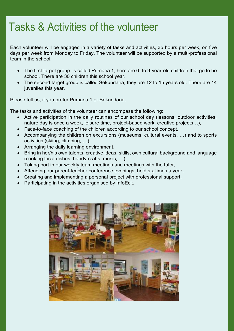#### Tasks & Activities of the volunteer

Each volunteer will be engaged in a variety of tasks and activities, 35 hours per week, on five days per week from Monday to Friday. The volunteer will be supported by a multi-professional team in the school.

- The first target group is called Primaria 1, here are 6- to 9-year-old children that go to he school. There are 30 children this school year.
- The second target group is called Sekundaria, they are 12 to 15 years old. There are 14 juveniles this year.

Please tell us, if you prefer Primaria 1 or Sekundaria.

The tasks and activities of the volunteer can encompass the following:

- Active participation in the daily routines of our school day (lessons, outdoor activities, nature day is once a week, leisure time, project-based work, creative projects…),
- Face-to-face coaching of the children according to our school concept,
- Accompanying the children on excursions (museums, cultural events, …) and to sports activities (skiing, climbing, …),
- Arranging the daily learning environment,
- Bring in her/his own talents, creative ideas, skills, own cultural background and language (cooking local dishes, handy-crafts, music, …),
- Taking part in our weekly team meetings and meetings with the tutor,
- Attending our parent-teacher conference evenings, held six times a year,
- Creating and implementing a personal project with professional support,
- Participating in the activities organised by InfoEck.

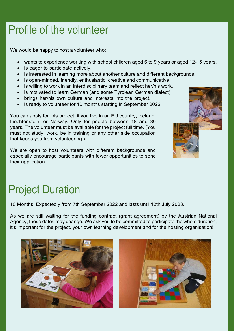#### Profile of the volunteer

We would be happy to host a volunteer who:

- wants to experience working with school children aged 6 to 9 years or aged 12-15 years,
- is eager to participate actively,
- is interested in learning more about another culture and different backgrounds,
- is open-minded, friendly, enthusiastic, creative and communicative,
- is willing to work in an interdisciplinary team and reflect her/his work,
- is motivated to learn German (and some Tyrolean German dialect),
- brings her/his own culture and interests into the project,
- is ready to volunteer for 10 months starting in September 2022.

You can apply for this project, if you live in an EU country, Iceland, Liechtenstein, or Norway. Only for people between 18 and 30 years. The volunteer must be available for the project full time. (You must not study, work, be in training or any other side occupation that keeps you from volunteering.)

We are open to host volunteers with different backgrounds and especially encourage participants with fewer opportunities to send their application.



### Project Duration

10 Months; Expectedly from 7th September 2022 and lasts until 12th July 2023.

As we are still waiting for the funding contract (grant agreement) by the Austrian National Agency, these dates may change. We ask you to be committed to participate the whole duration, it's important for the project, your own learning development and for the hosting organisation!